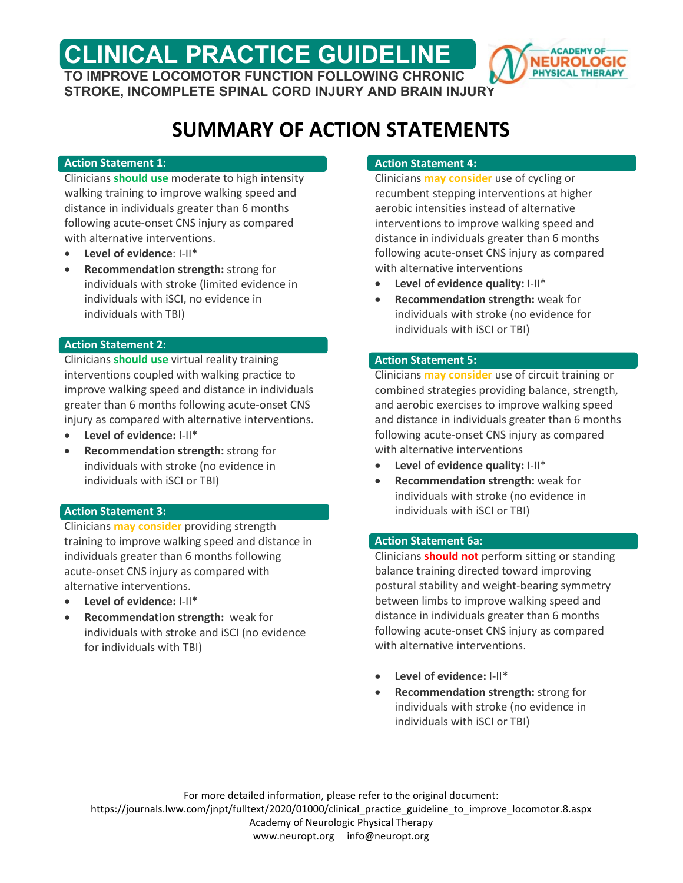**CLINICAL PRACTICE GUIDELINE TO IMPROVE LOCOMOTOR FUNCTION FOLLOWING CHRONIC** 



**STROKE, INCOMPLETE SPINAL CORD INJURY AND BRAIN INJURY**

# **SUMMARY OF ACTION STATEMENTS**

#### **Action Statement 1:**

Clinicians **should use** moderate to high intensity walking training to improve walking speed and distance in individuals greater than 6 months following acute-onset CNS injury as compared with alternative interventions.

- **Level of evidence**: I-II\*
- **Recommendation strength:** strong for individuals with stroke (limited evidence in individuals with iSCI, no evidence in individuals with TBI)

### **Action Statement 2:**

Clinicians **should use** virtual reality training interventions coupled with walking practice to improve walking speed and distance in individuals greater than 6 months following acute-onset CNS injury as compared with alternative interventions.

- **Level of evidence:** I-II\*
- **Recommendation strength:** strong for individuals with stroke (no evidence in individuals with iSCI or TBI)

# **Action Statement 3:**

Clinicians **may consider** providing strength training to improve walking speed and distance in individuals greater than 6 months following acute-onset CNS injury as compared with alternative interventions.

- **Level of evidence:** I-II\*
- **Recommendation strength:** weak for individuals with stroke and iSCI (no evidence for individuals with TBI)

# **Action Statement 4:**

Clinicians **may consider** use of cycling or recumbent stepping interventions at higher aerobic intensities instead of alternative interventions to improve walking speed and distance in individuals greater than 6 months following acute-onset CNS injury as compared with alternative interventions

- **Level of evidence quality:** I-II\*
- **Recommendation strength:** weak for individuals with stroke (no evidence for individuals with iSCI or TBI)

### **Action Statement 5:**

Clinicians **may consider** use of circuit training or combined strategies providing balance, strength, and aerobic exercises to improve walking speed and distance in individuals greater than 6 months following acute-onset CNS injury as compared with alternative interventions

- **Level of evidence quality:** I-II\*
- **Recommendation strength:** weak for individuals with stroke (no evidence in individuals with iSCI or TBI)

# **Action Statement 6a:**

Clinicians **should not** perform sitting or standing balance training directed toward improving postural stability and weight-bearing symmetry between limbs to improve walking speed and distance in individuals greater than 6 months following acute-onset CNS injury as compared with alternative interventions.

- **Level of evidence:** I-II\*
- **Recommendation strength:** strong for individuals with stroke (no evidence in individuals with iSCI or TBI)